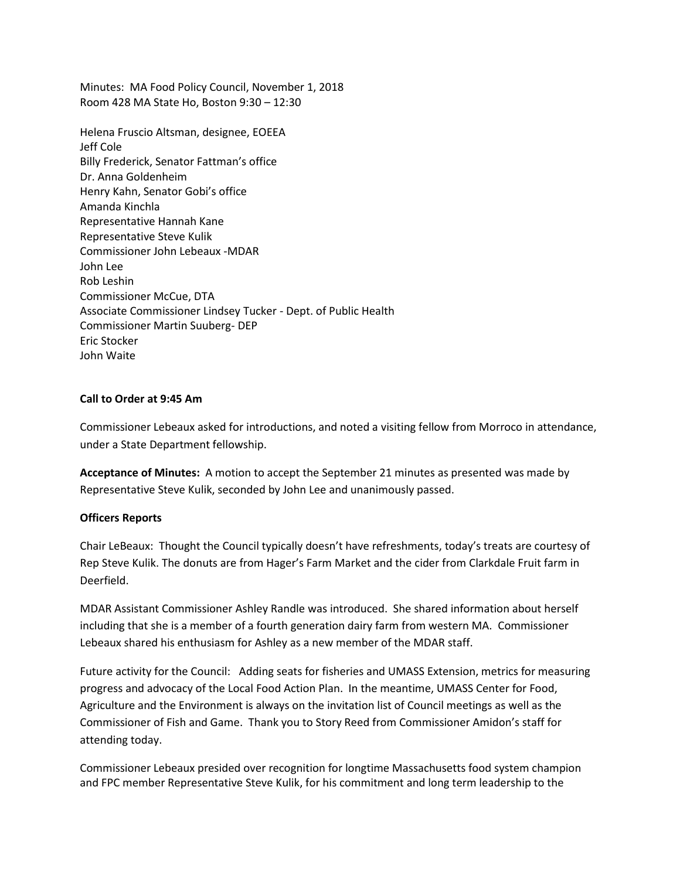Minutes: MA Food Policy Council, November 1, 2018 Room 428 MA State Ho, Boston 9:30 – 12:30

Helena Fruscio Altsman, designee, EOEEA Jeff Cole Billy Frederick, Senator Fattman's office Dr. Anna Goldenheim Henry Kahn, Senator Gobi's office Amanda Kinchla Representative Hannah Kane Representative Steve Kulik Commissioner John Lebeaux -MDAR John Lee Rob Leshin Commissioner McCue, DTA Associate Commissioner Lindsey Tucker - Dept. of Public Health Commissioner Martin Suuberg- DEP Eric Stocker John Waite

### **Call to Order at 9:45 Am**

Commissioner Lebeaux asked for introductions, and noted a visiting fellow from Morroco in attendance, under a State Department fellowship.

**Acceptance of Minutes:** A motion to accept the September 21 minutes as presented was made by Representative Steve Kulik, seconded by John Lee and unanimously passed.

#### **Officers Reports**

Chair LeBeaux: Thought the Council typically doesn't have refreshments, today's treats are courtesy of Rep Steve Kulik. The donuts are from Hager's Farm Market and the cider from Clarkdale Fruit farm in Deerfield.

MDAR Assistant Commissioner Ashley Randle was introduced. She shared information about herself including that she is a member of a fourth generation dairy farm from western MA. Commissioner Lebeaux shared his enthusiasm for Ashley as a new member of the MDAR staff.

Future activity for the Council: Adding seats for fisheries and UMASS Extension, metrics for measuring progress and advocacy of the Local Food Action Plan. In the meantime, UMASS Center for Food, Agriculture and the Environment is always on the invitation list of Council meetings as well as the Commissioner of Fish and Game. Thank you to Story Reed from Commissioner Amidon's staff for attending today.

Commissioner Lebeaux presided over recognition for longtime Massachusetts food system champion and FPC member Representative Steve Kulik, for his commitment and long term leadership to the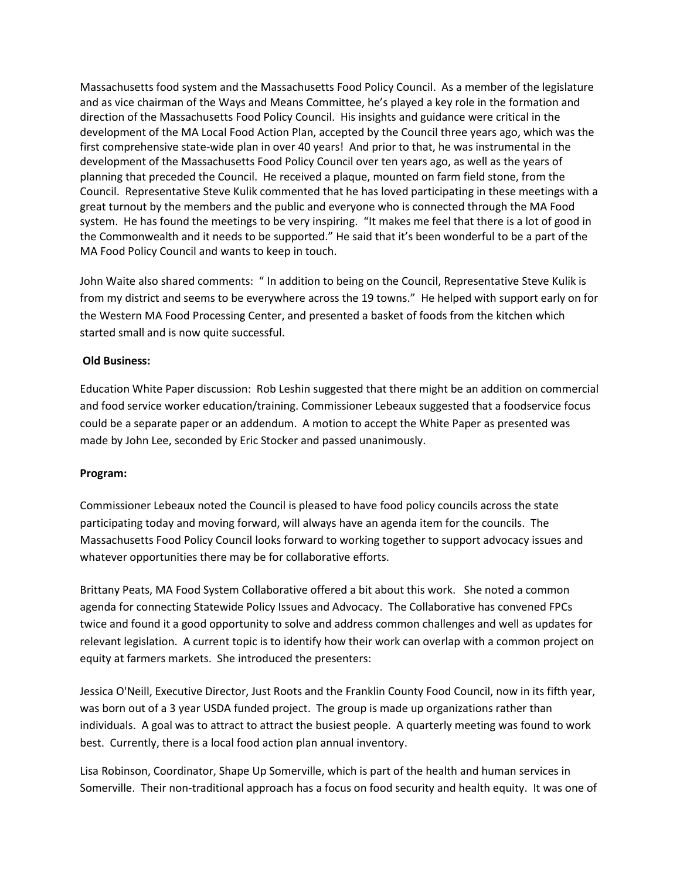Massachusetts food system and the Massachusetts Food Policy Council. As a member of the legislature and as vice chairman of the Ways and Means Committee, he's played a key role in the formation and direction of the Massachusetts Food Policy Council. His insights and guidance were critical in the development of the MA Local Food Action Plan, accepted by the Council three years ago, which was the first comprehensive state-wide plan in over 40 years! And prior to that, he was instrumental in the development of the Massachusetts Food Policy Council over ten years ago, as well as the years of planning that preceded the Council. He received a plaque, mounted on farm field stone, from the Council. Representative Steve Kulik commented that he has loved participating in these meetings with a great turnout by the members and the public and everyone who is connected through the MA Food system. He has found the meetings to be very inspiring. "It makes me feel that there is a lot of good in the Commonwealth and it needs to be supported." He said that it's been wonderful to be a part of the MA Food Policy Council and wants to keep in touch.

John Waite also shared comments: " In addition to being on the Council, Representative Steve Kulik is from my district and seems to be everywhere across the 19 towns." He helped with support early on for the Western MA Food Processing Center, and presented a basket of foods from the kitchen which started small and is now quite successful.

# **Old Business:**

Education White Paper discussion: Rob Leshin suggested that there might be an addition on commercial and food service worker education/training. Commissioner Lebeaux suggested that a foodservice focus could be a separate paper or an addendum. A motion to accept the White Paper as presented was made by John Lee, seconded by Eric Stocker and passed unanimously.

# **Program:**

Commissioner Lebeaux noted the Council is pleased to have food policy councils across the state participating today and moving forward, will always have an agenda item for the councils. The Massachusetts Food Policy Council looks forward to working together to support advocacy issues and whatever opportunities there may be for collaborative efforts.

Brittany Peats, MA Food System Collaborative offered a bit about this work. She noted a common agenda for connecting Statewide Policy Issues and Advocacy. The Collaborative has convened FPCs twice and found it a good opportunity to solve and address common challenges and well as updates for relevant legislation. A current topic is to identify how their work can overlap with a common project on equity at farmers markets. She introduced the presenters:

Jessica O'Neill, Executive Director, Just Roots and the Franklin County Food Council, now in its fifth year, was born out of a 3 year USDA funded project. The group is made up organizations rather than individuals. A goal was to attract to attract the busiest people. A quarterly meeting was found to work best. Currently, there is a local food action plan annual inventory.

Lisa Robinson, Coordinator, Shape Up Somerville, which is part of the health and human services in Somerville. Their non-traditional approach has a focus on food security and health equity. It was one of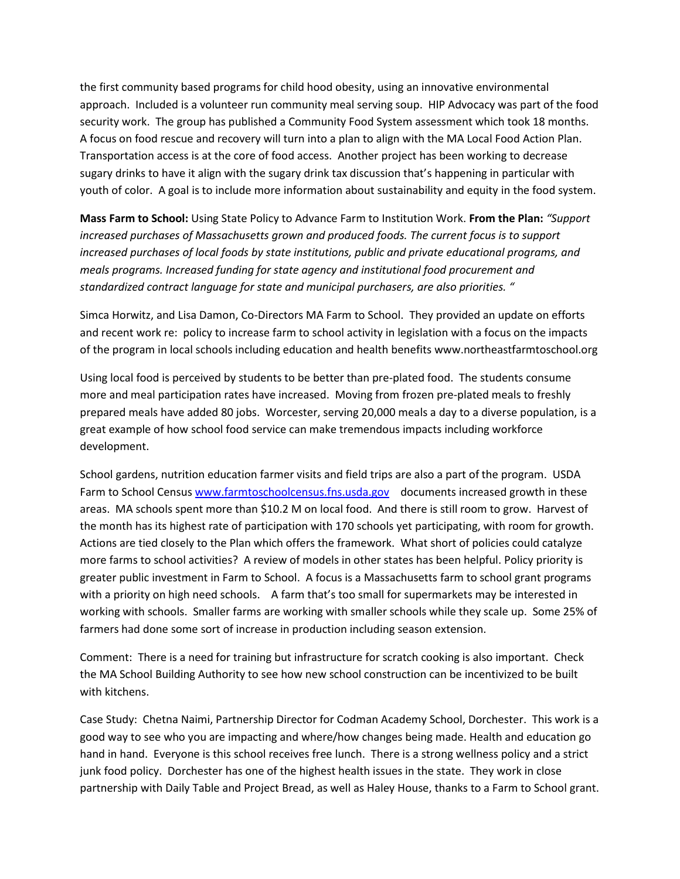the first community based programs for child hood obesity, using an innovative environmental approach. Included is a volunteer run community meal serving soup. HIP Advocacy was part of the food security work. The group has published a Community Food System assessment which took 18 months. A focus on food rescue and recovery will turn into a plan to align with the MA Local Food Action Plan. Transportation access is at the core of food access. Another project has been working to decrease sugary drinks to have it align with the sugary drink tax discussion that's happening in particular with youth of color. A goal is to include more information about sustainability and equity in the food system.

**Mass Farm to School:** Using State Policy to Advance Farm to Institution Work. **From the Plan:** *"Support increased purchases of Massachusetts grown and produced foods. The current focus is to support increased purchases of local foods by state institutions, public and private educational programs, and meals programs. Increased funding for state agency and institutional food procurement and standardized contract language for state and municipal purchasers, are also priorities. "* 

Simca Horwitz, and Lisa Damon, Co-Directors MA Farm to School. They provided an update on efforts and recent work re: policy to increase farm to school activity in legislation with a focus on the impacts of the program in local schools including education and health benefits www.northeastfarmtoschool.org

Using local food is perceived by students to be better than pre-plated food. The students consume more and meal participation rates have increased. Moving from frozen pre-plated meals to freshly prepared meals have added 80 jobs. Worcester, serving 20,000 meals a day to a diverse population, is a great example of how school food service can make tremendous impacts including workforce development.

School gardens, nutrition education farmer visits and field trips are also a part of the program. USDA Farm to School Censu[s www.farmtoschoolcensus.fns.usda.gov](http://www.farmtoschoolcensus.fns.usda.gov/) documents increased growth in these areas. MA schools spent more than \$10.2 M on local food. And there is still room to grow. Harvest of the month has its highest rate of participation with 170 schools yet participating, with room for growth. Actions are tied closely to the Plan which offers the framework. What short of policies could catalyze more farms to school activities? A review of models in other states has been helpful. Policy priority is greater public investment in Farm to School. A focus is a Massachusetts farm to school grant programs with a priority on high need schools. A farm that's too small for supermarkets may be interested in working with schools. Smaller farms are working with smaller schools while they scale up. Some 25% of farmers had done some sort of increase in production including season extension.

Comment: There is a need for training but infrastructure for scratch cooking is also important. Check the MA School Building Authority to see how new school construction can be incentivized to be built with kitchens.

Case Study: Chetna Naimi, Partnership Director for Codman Academy School, Dorchester. This work is a good way to see who you are impacting and where/how changes being made. Health and education go hand in hand. Everyone is this school receives free lunch. There is a strong wellness policy and a strict junk food policy. Dorchester has one of the highest health issues in the state. They work in close partnership with Daily Table and Project Bread, as well as Haley House, thanks to a Farm to School grant.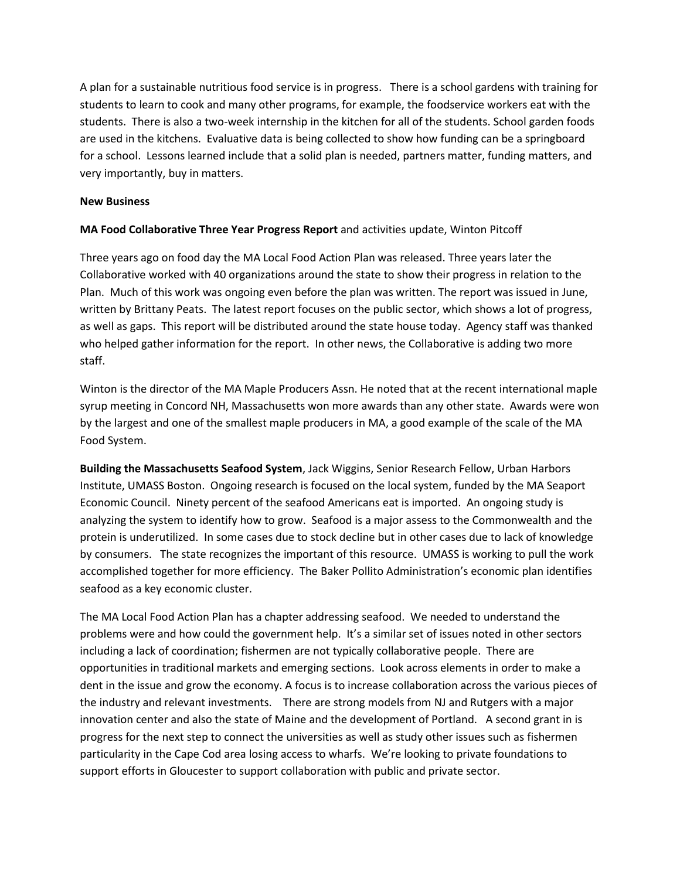A plan for a sustainable nutritious food service is in progress. There is a school gardens with training for students to learn to cook and many other programs, for example, the foodservice workers eat with the students. There is also a two-week internship in the kitchen for all of the students. School garden foods are used in the kitchens. Evaluative data is being collected to show how funding can be a springboard for a school. Lessons learned include that a solid plan is needed, partners matter, funding matters, and very importantly, buy in matters.

## **New Business**

# **MA Food Collaborative Three Year Progress Report** and activities update, Winton Pitcoff

Three years ago on food day the MA Local Food Action Plan was released. Three years later the Collaborative worked with 40 organizations around the state to show their progress in relation to the Plan. Much of this work was ongoing even before the plan was written. The report was issued in June, written by Brittany Peats. The latest report focuses on the public sector, which shows a lot of progress, as well as gaps. This report will be distributed around the state house today. Agency staff was thanked who helped gather information for the report. In other news, the Collaborative is adding two more staff.

Winton is the director of the MA Maple Producers Assn. He noted that at the recent international maple syrup meeting in Concord NH, Massachusetts won more awards than any other state. Awards were won by the largest and one of the smallest maple producers in MA, a good example of the scale of the MA Food System.

**Building the Massachusetts Seafood System**, Jack Wiggins, Senior Research Fellow, Urban Harbors Institute, UMASS Boston. Ongoing research is focused on the local system, funded by the MA Seaport Economic Council. Ninety percent of the seafood Americans eat is imported. An ongoing study is analyzing the system to identify how to grow. Seafood is a major assess to the Commonwealth and the protein is underutilized. In some cases due to stock decline but in other cases due to lack of knowledge by consumers. The state recognizes the important of this resource. UMASS is working to pull the work accomplished together for more efficiency. The Baker Pollito Administration's economic plan identifies seafood as a key economic cluster.

The MA Local Food Action Plan has a chapter addressing seafood. We needed to understand the problems were and how could the government help. It's a similar set of issues noted in other sectors including a lack of coordination; fishermen are not typically collaborative people. There are opportunities in traditional markets and emerging sections. Look across elements in order to make a dent in the issue and grow the economy. A focus is to increase collaboration across the various pieces of the industry and relevant investments. There are strong models from NJ and Rutgers with a major innovation center and also the state of Maine and the development of Portland. A second grant in is progress for the next step to connect the universities as well as study other issues such as fishermen particularity in the Cape Cod area losing access to wharfs. We're looking to private foundations to support efforts in Gloucester to support collaboration with public and private sector.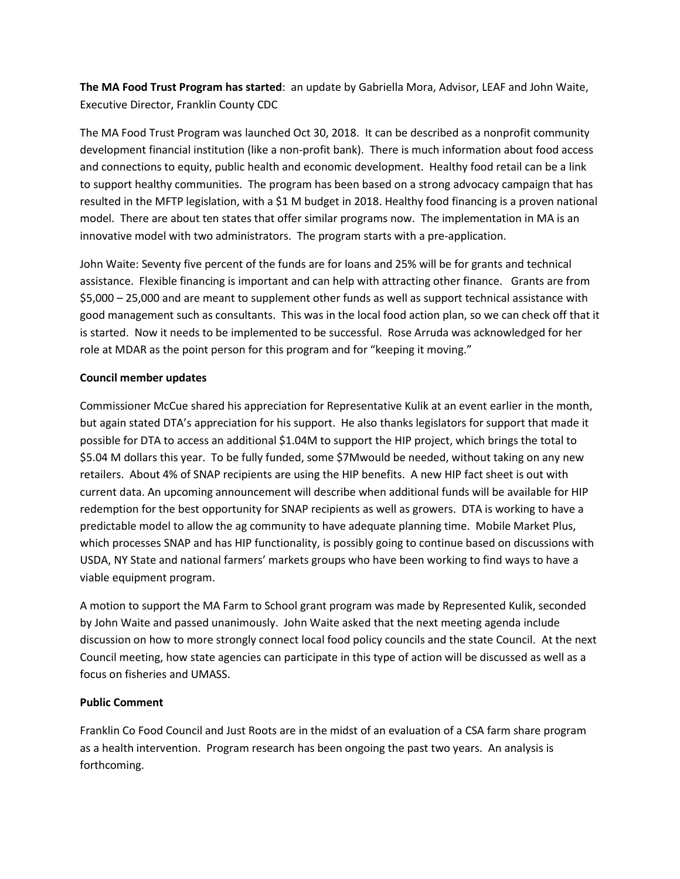**The MA Food Trust Program has started**: an update by Gabriella Mora, Advisor, LEAF and John Waite, Executive Director, Franklin County CDC

The MA Food Trust Program was launched Oct 30, 2018. It can be described as a nonprofit community development financial institution (like a non-profit bank). There is much information about food access and connections to equity, public health and economic development. Healthy food retail can be a link to support healthy communities. The program has been based on a strong advocacy campaign that has resulted in the MFTP legislation, with a \$1 M budget in 2018. Healthy food financing is a proven national model. There are about ten states that offer similar programs now. The implementation in MA is an innovative model with two administrators. The program starts with a pre-application.

John Waite: Seventy five percent of the funds are for loans and 25% will be for grants and technical assistance. Flexible financing is important and can help with attracting other finance. Grants are from \$5,000 – 25,000 and are meant to supplement other funds as well as support technical assistance with good management such as consultants. This was in the local food action plan, so we can check off that it is started. Now it needs to be implemented to be successful. Rose Arruda was acknowledged for her role at MDAR as the point person for this program and for "keeping it moving."

# **Council member updates**

Commissioner McCue shared his appreciation for Representative Kulik at an event earlier in the month, but again stated DTA's appreciation for his support. He also thanks legislators for support that made it possible for DTA to access an additional \$1.04M to support the HIP project, which brings the total to \$5.04 M dollars this year. To be fully funded, some \$7Mwould be needed, without taking on any new retailers. About 4% of SNAP recipients are using the HIP benefits. A new HIP fact sheet is out with current data. An upcoming announcement will describe when additional funds will be available for HIP redemption for the best opportunity for SNAP recipients as well as growers. DTA is working to have a predictable model to allow the ag community to have adequate planning time. Mobile Market Plus, which processes SNAP and has HIP functionality, is possibly going to continue based on discussions with USDA, NY State and national farmers' markets groups who have been working to find ways to have a viable equipment program.

A motion to support the MA Farm to School grant program was made by Represented Kulik, seconded by John Waite and passed unanimously. John Waite asked that the next meeting agenda include discussion on how to more strongly connect local food policy councils and the state Council. At the next Council meeting, how state agencies can participate in this type of action will be discussed as well as a focus on fisheries and UMASS.

# **Public Comment**

Franklin Co Food Council and Just Roots are in the midst of an evaluation of a CSA farm share program as a health intervention. Program research has been ongoing the past two years. An analysis is forthcoming.